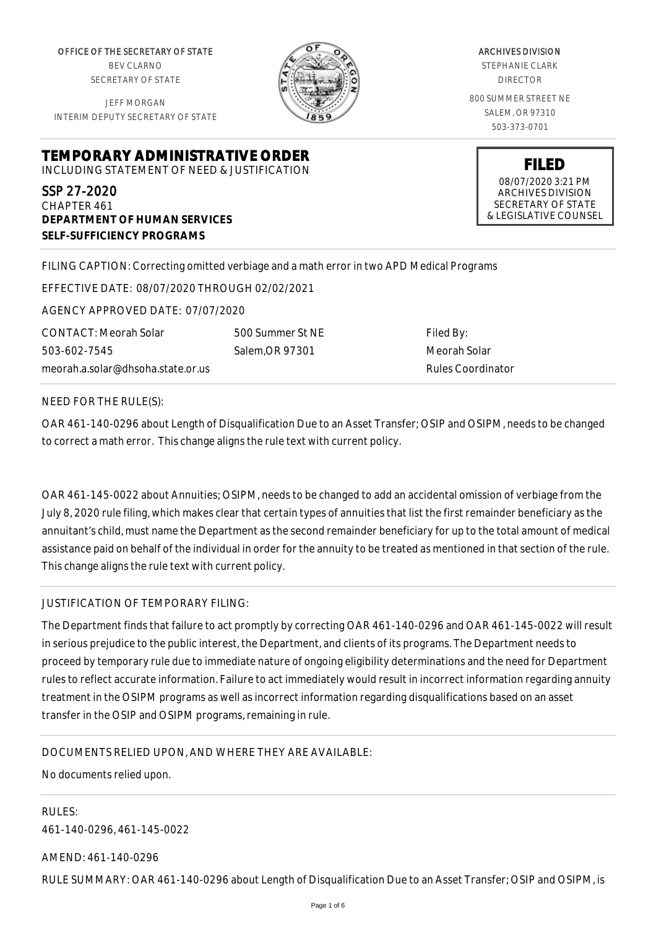OFFICE OF THE SECRETARY OF STATE BEV CLARNO SECRETARY OF STATE

JEFF MORGAN INTERIM DEPUTY SECRETARY OF STATE

**DEPARTMENT OF HUMAN SERVICES**

**SELF-SUFFICIENCY PROGRAMS**



ARCHIVES DIVISION STEPHANIE CLARK DIRECTOR 800 SUMMER STREET NE SALEM, OR 97310 503-373-0701

> **FILED** 08/07/2020 3:21 PM ARCHIVES DIVISION SECRETARY OF STATE & LEGISLATIVE COUNSEL

FILING CAPTION: Correcting omitted verbiage and a math error in two APD Medical Programs

EFFECTIVE DATE: 08/07/2020 THROUGH 02/02/2021

**TEMPORARY ADMINISTRATIVE ORDER** INCLUDING STATEMENT OF NEED & JUSTIFICATION

AGENCY APPROVED DATE: 07/07/2020

CONTACT: Meorah Solar 503-602-7545 meorah.a.solar@dhsoha.state.or.us 500 Summer St NE Salem,OR 97301

Filed By: Meorah Solar Rules Coordinator

NEED FOR THE RULE(S):

SSP 27-2020 CHAPTER 461

OAR 461-140-0296 about Length of Disqualification Due to an Asset Transfer; OSIP and OSIPM, needs to be changed to correct a math error. This change aligns the rule text with current policy.

OAR 461-145-0022 about Annuities; OSIPM, needs to be changed to add an accidental omission of verbiage from the July 8, 2020 rule filing, which makes clear that certain types of annuities that list the first remainder beneficiary as the annuitant's child, must name the Department as the second remainder beneficiary for up to the total amount of medical assistance paid on behalf of the individual in order for the annuity to be treated as mentioned in that section of the rule. This change aligns the rule text with current policy.

## JUSTIFICATION OF TEMPORARY FILING:

The Department finds that failure to act promptly by correcting OAR 461-140-0296 and OAR 461-145-0022 will result in serious prejudice to the public interest, the Department, and clients of its programs. The Department needs to proceed by temporary rule due to immediate nature of ongoing eligibility determinations and the need for Department rules to reflect accurate information. Failure to act immediately would result in incorrect information regarding annuity treatment in the OSIPM programs as well as incorrect information regarding disqualifications based on an asset transfer in the OSIP and OSIPM programs, remaining in rule.

DOCUMENTS RELIED UPON, AND WHERE THEY ARE AVAILABLE:

No documents relied upon.

RULES: 461-140-0296, 461-145-0022

AMEND: 461-140-0296

RULE SUMMARY: OAR 461-140-0296 about Length of Disqualification Due to an Asset Transfer; OSIP and OSIPM, is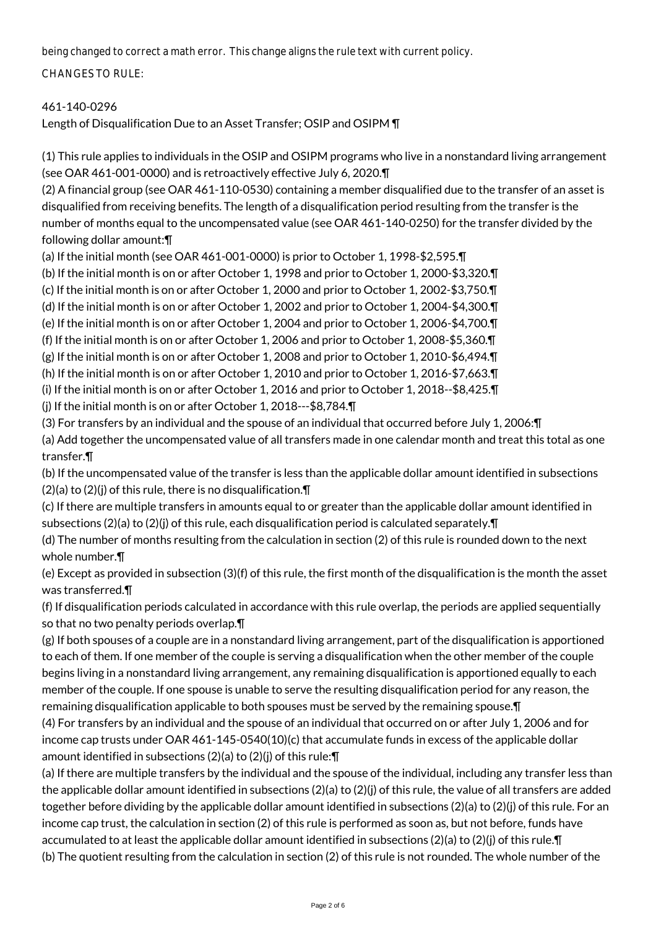being changed to correct a math error. This change aligns the rule text with current policy.

CHANGES TO RULE:

## 461-140-0296

Length of Disqualification Due to an Asset Transfer; OSIP and OSIPM ¶

(1) This rule applies to individuals in the OSIP and OSIPM programs who live in a nonstandard living arrangement (see OAR 461-001-0000) and is retroactively effective July 6, 2020.¶

(2) A financial group (see OAR 461-110-0530) containing a member disqualified due to the transfer of an asset is disqualified from receiving benefits. The length of a disqualification period resulting from the transfer is the number of months equal to the uncompensated value (see OAR 461-140-0250) for the transfer divided by the following dollar amount:¶

(a) If the initial month (see OAR 461-001-0000) is prior to October 1, 1998-\$2,595.¶

(b) If the initial month is on or after October 1, 1998 and prior to October 1, 2000-\$3,320.¶

(c) If the initial month is on or after October 1, 2000 and prior to October 1, 2002-\$3,750.¶

(d) If the initial month is on or after October 1, 2002 and prior to October 1, 2004-\$4,300.¶

(e) If the initial month is on or after October 1, 2004 and prior to October 1, 2006-\$4,700.¶

(f) If the initial month is on or after October 1, 2006 and prior to October 1, 2008-\$5,360.¶

(g) If the initial month is on or after October 1, 2008 and prior to October 1, 2010-\$6,494.¶

(h) If the initial month is on or after October 1, 2010 and prior to October 1, 2016-\$7,663.¶

(i) If the initial month is on or after October 1, 2016 and prior to October 1, 2018--\$8,425.¶

(j) If the initial month is on or after October 1, 2018---\$8,784.¶

(3) For transfers by an individual and the spouse of an individual that occurred before July 1, 2006:¶

(a) Add together the uncompensated value of all transfers made in one calendar month and treat this total as one transfer.¶

(b) If the uncompensated value of the transfer is less than the applicable dollar amount identified in subsections  $(2)(a)$  to  $(2)(j)$  of this rule, there is no disqualification. $\P$ 

(c) If there are multiple transfers in amounts equal to or greater than the applicable dollar amount identified in subsections (2)(a) to (2)(j) of this rule, each disqualification period is calculated separately.¶

(d) The number of months resulting from the calculation in section (2) of this rule is rounded down to the next whole number.¶

(e) Except as provided in subsection (3)(f) of this rule, the first month of the disqualification is the month the asset was transferred.¶

(f) If disqualification periods calculated in accordance with this rule overlap, the periods are applied sequentially so that no two penalty periods overlap.¶

(g) If both spouses of a couple are in a nonstandard living arrangement, part of the disqualification is apportioned to each of them. If one member of the couple is serving a disqualification when the other member of the couple begins living in a nonstandard living arrangement, any remaining disqualification is apportioned equally to each member of the couple. If one spouse is unable to serve the resulting disqualification period for any reason, the remaining disqualification applicable to both spouses must be served by the remaining spouse.¶

(4) For transfers by an individual and the spouse of an individual that occurred on or after July 1, 2006 and for income cap trusts under OAR 461-145-0540(10)(c) that accumulate funds in excess of the applicable dollar amount identified in subsections (2)(a) to (2)(j) of this rule:¶

(a) If there are multiple transfers by the individual and the spouse of the individual, including any transfer less than the applicable dollar amount identified in subsections  $(2)(a)$  to  $(2)(j)$  of this rule, the value of all transfers are added together before dividing by the applicable dollar amount identified in subsections (2)(a) to (2)(j) of this rule. For an income cap trust, the calculation in section (2) of this rule is performed as soon as, but not before, funds have accumulated to at least the applicable dollar amount identified in subsections (2)(a) to (2)(j) of this rule.¶ (b) The quotient resulting from the calculation in section (2) of this rule is not rounded. The whole number of the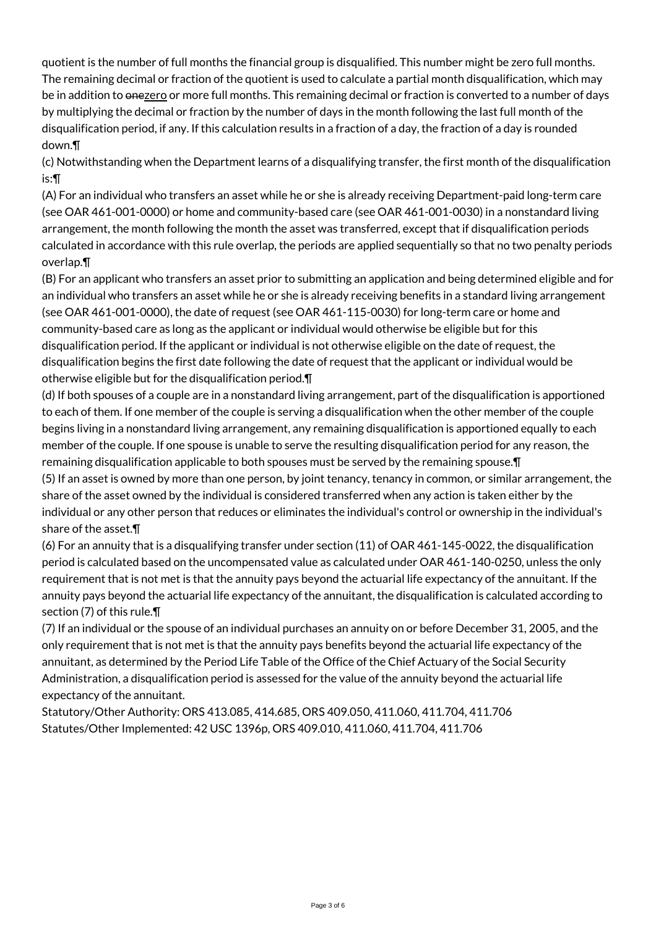quotient is the number of full months the financial group is disqualified. This number might be zero full months. The remaining decimal or fraction of the quotient is used to calculate a partial month disqualification, which may be in addition to onezero or more full months. This remaining decimal or fraction is converted to a number of days by multiplying the decimal or fraction by the number of days in the month following the last full month of the disqualification period, if any. If this calculation results in a fraction of a day, the fraction of a day is rounded down.¶

(c) Notwithstanding when the Department learns of a disqualifying transfer, the first month of the disqualification is:¶

(A) For an individual who transfers an asset while he or she is already receiving Department-paid long-term care (see OAR 461-001-0000) or home and community-based care (see OAR 461-001-0030) in a nonstandard living arrangement, the month following the month the asset was transferred, except that if disqualification periods calculated in accordance with this rule overlap, the periods are applied sequentially so that no two penalty periods overlap.¶

(B) For an applicant who transfers an asset prior to submitting an application and being determined eligible and for an individual who transfers an asset while he or she is already receiving benefits in a standard living arrangement (see OAR 461-001-0000), the date of request (see OAR 461-115-0030) for long-term care or home and community-based care as long as the applicant or individual would otherwise be eligible but for this disqualification period. If the applicant or individual is not otherwise eligible on the date of request, the disqualification begins the first date following the date of request that the applicant or individual would be otherwise eligible but for the disqualification period.¶

(d) If both spouses of a couple are in a nonstandard living arrangement, part of the disqualification is apportioned to each of them. If one member of the couple is serving a disqualification when the other member of the couple begins living in a nonstandard living arrangement, any remaining disqualification is apportioned equally to each member of the couple. If one spouse is unable to serve the resulting disqualification period for any reason, the remaining disqualification applicable to both spouses must be served by the remaining spouse.¶

(5) If an asset is owned by more than one person, by joint tenancy, tenancy in common, or similar arrangement, the share of the asset owned by the individual is considered transferred when any action is taken either by the individual or any other person that reduces or eliminates the individual's control or ownership in the individual's share of the asset.¶

(6) For an annuity that is a disqualifying transfer under section (11) of OAR 461-145-0022, the disqualification period is calculated based on the uncompensated value as calculated under OAR 461-140-0250, unless the only requirement that is not met is that the annuity pays beyond the actuarial life expectancy of the annuitant. If the annuity pays beyond the actuarial life expectancy of the annuitant, the disqualification is calculated according to section (7) of this rule.¶

(7) If an individual or the spouse of an individual purchases an annuity on or before December 31, 2005, and the only requirement that is not met is that the annuity pays benefits beyond the actuarial life expectancy of the annuitant, as determined by the Period Life Table of the Office of the Chief Actuary of the Social Security Administration, a disqualification period is assessed for the value of the annuity beyond the actuarial life expectancy of the annuitant.

Statutory/Other Authority: ORS 413.085, 414.685, ORS 409.050, 411.060, 411.704, 411.706 Statutes/Other Implemented: 42 USC 1396p, ORS 409.010, 411.060, 411.704, 411.706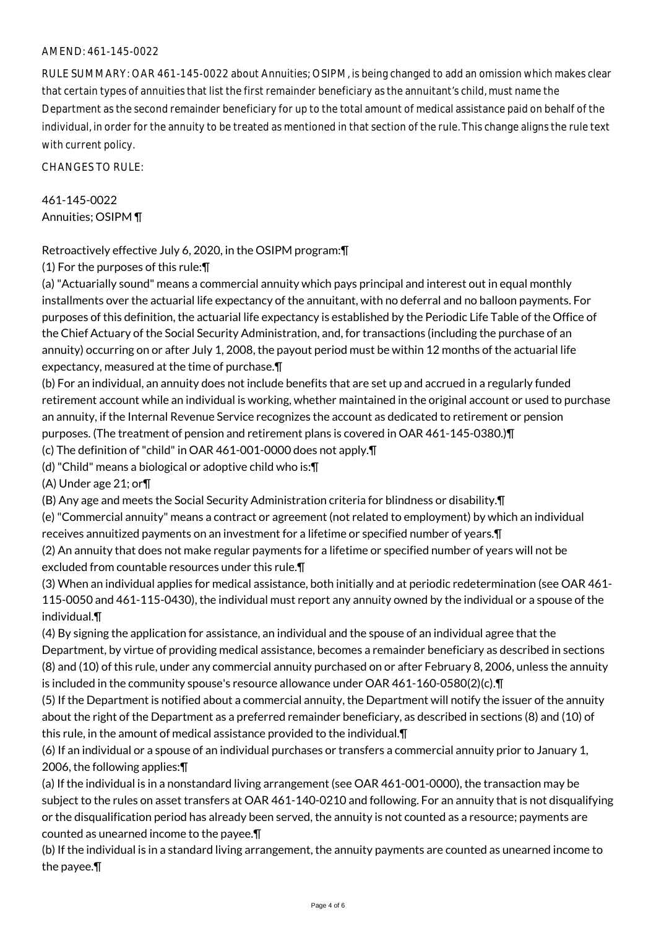## AMEND: 461-145-0022

RULE SUMMARY: OAR 461-145-0022 about Annuities; OSIPM, is being changed to add an omission which makes clear that certain types of annuities that list the first remainder beneficiary as the annuitant's child, must name the Department as the second remainder beneficiary for up to the total amount of medical assistance paid on behalf of the individual, in order for the annuity to be treated as mentioned in that section of the rule. This change aligns the rule text with current policy.

CHANGES TO RULE:

461-145-0022 Annuities; OSIPM ¶

Retroactively effective July 6, 2020, in the OSIPM program:¶

(1) For the purposes of this rule:¶

(a) "Actuarially sound" means a commercial annuity which pays principal and interest out in equal monthly installments over the actuarial life expectancy of the annuitant, with no deferral and no balloon payments. For purposes of this definition, the actuarial life expectancy is established by the Periodic Life Table of the Office of the Chief Actuary of the Social Security Administration, and, for transactions (including the purchase of an annuity) occurring on or after July 1, 2008, the payout period must be within 12 months of the actuarial life expectancy, measured at the time of purchase.¶

(b) For an individual, an annuity does not include benefits that are set up and accrued in a regularly funded retirement account while an individual is working, whether maintained in the original account or used to purchase an annuity, if the Internal Revenue Service recognizes the account as dedicated to retirement or pension purposes. (The treatment of pension and retirement plans is covered in OAR 461-145-0380.)¶

(c) The definition of "child" in OAR 461-001-0000 does not apply.¶

(d) "Child" means a biological or adoptive child who is:¶

(A) Under age 21; or¶

(B) Any age and meets the Social Security Administration criteria for blindness or disability.¶

(e) "Commercial annuity" means a contract or agreement (not related to employment) by which an individual receives annuitized payments on an investment for a lifetime or specified number of years.¶

(2) An annuity that does not make regular payments for a lifetime or specified number of years will not be excluded from countable resources under this rule.¶

(3) When an individual applies for medical assistance, both initially and at periodic redetermination (see OAR 461- 115-0050 and 461-115-0430), the individual must report any annuity owned by the individual or a spouse of the individual.¶

(4) By signing the application for assistance, an individual and the spouse of an individual agree that the Department, by virtue of providing medical assistance, becomes a remainder beneficiary as described in sections (8) and (10) of this rule, under any commercial annuity purchased on or after February 8, 2006, unless the annuity is included in the community spouse's resource allowance under OAR 461-160-0580(2)(c).¶

(5) If the Department is notified about a commercial annuity, the Department will notify the issuer of the annuity about the right of the Department as a preferred remainder beneficiary, as described in sections (8) and (10) of this rule, in the amount of medical assistance provided to the individual.¶

(6) If an individual or a spouse of an individual purchases or transfers a commercial annuity prior to January 1, 2006, the following applies:¶

(a) If the individual is in a nonstandard living arrangement (see OAR 461-001-0000), the transaction may be subject to the rules on asset transfers at OAR 461-140-0210 and following. For an annuity that is not disqualifying or the disqualification period has already been served, the annuity is not counted as a resource; payments are counted as unearned income to the payee.¶

(b) If the individual is in a standard living arrangement, the annuity payments are counted as unearned income to the payee.¶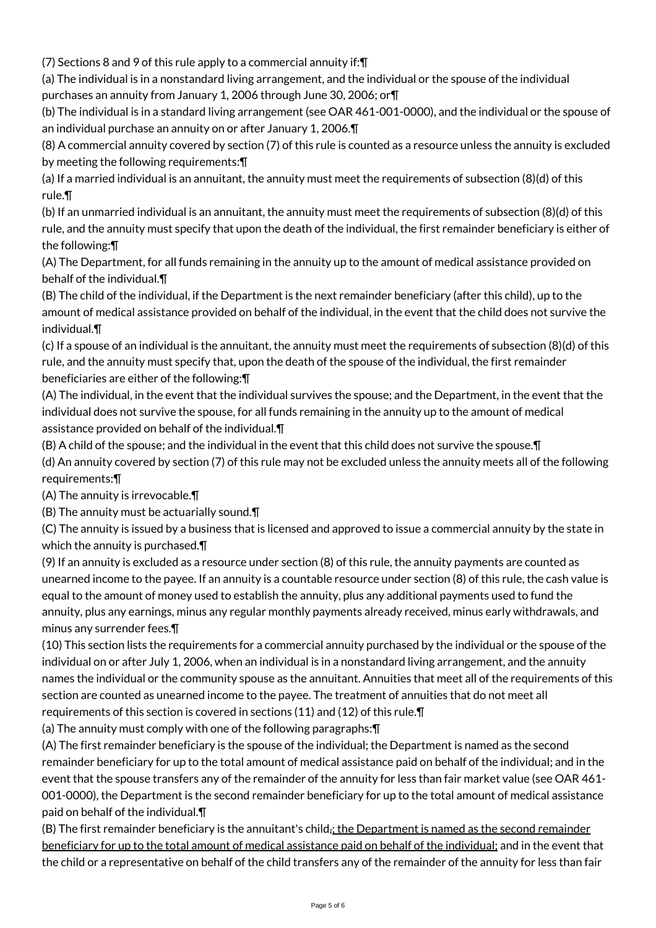(7) Sections 8 and 9 of this rule apply to a commercial annuity if:¶

(a) The individual is in a nonstandard living arrangement, and the individual or the spouse of the individual purchases an annuity from January 1, 2006 through June 30, 2006; or¶

(b) The individual is in a standard living arrangement (see OAR 461-001-0000), and the individual or the spouse of an individual purchase an annuity on or after January 1, 2006.¶

(8) A commercial annuity covered by section (7) of this rule is counted as a resource unless the annuity is excluded by meeting the following requirements:¶

(a) If a married individual is an annuitant, the annuity must meet the requirements of subsection (8)(d) of this rule.¶

(b) If an unmarried individual is an annuitant, the annuity must meet the requirements of subsection (8)(d) of this rule, and the annuity must specify that upon the death of the individual, the first remainder beneficiary is either of the following:¶

(A) The Department, for all funds remaining in the annuity up to the amount of medical assistance provided on behalf of the individual.¶

(B) The child of the individual, if the Department is the next remainder beneficiary (after this child), up to the amount of medical assistance provided on behalf of the individual, in the event that the child does not survive the individual.¶

(c) If a spouse of an individual is the annuitant, the annuity must meet the requirements of subsection (8)(d) of this rule, and the annuity must specify that, upon the death of the spouse of the individual, the first remainder beneficiaries are either of the following:¶

(A) The individual, in the event that the individual survives the spouse; and the Department, in the event that the individual does not survive the spouse, for all funds remaining in the annuity up to the amount of medical assistance provided on behalf of the individual.¶

(B) A child of the spouse; and the individual in the event that this child does not survive the spouse.¶

(d) An annuity covered by section (7) of this rule may not be excluded unless the annuity meets all of the following requirements:¶

(A) The annuity is irrevocable.¶

(B) The annuity must be actuarially sound.¶

(C) The annuity is issued by a business that is licensed and approved to issue a commercial annuity by the state in which the annuity is purchased.¶

(9) If an annuity is excluded as a resource under section (8) of this rule, the annuity payments are counted as unearned income to the payee. If an annuity is a countable resource under section (8) of this rule, the cash value is equal to the amount of money used to establish the annuity, plus any additional payments used to fund the annuity, plus any earnings, minus any regular monthly payments already received, minus early withdrawals, and minus any surrender fees.¶

(10) This section lists the requirements for a commercial annuity purchased by the individual or the spouse of the individual on or after July 1, 2006, when an individual is in a nonstandard living arrangement, and the annuity names the individual or the community spouse as the annuitant. Annuities that meet all of the requirements of this section are counted as unearned income to the payee. The treatment of annuities that do not meet all requirements of this section is covered in sections (11) and (12) of this rule.¶

(a) The annuity must comply with one of the following paragraphs:¶

(A) The first remainder beneficiary is the spouse of the individual; the Department is named as the second remainder beneficiary for up to the total amount of medical assistance paid on behalf of the individual; and in the event that the spouse transfers any of the remainder of the annuity for less than fair market value (see OAR 461- 001-0000), the Department is the second remainder beneficiary for up to the total amount of medical assistance paid on behalf of the individual.¶

(B) The first remainder beneficiary is the annuitant's child; the Department is named as the second remainder beneficiary for up to the total amount of medical assistance paid on behalf of the individual; and in the event that the child or a representative on behalf of the child transfers any of the remainder of the annuity for less than fair